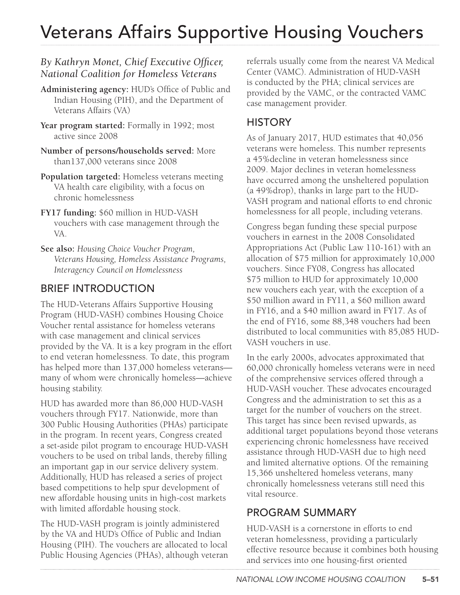# Veterans Affairs Supportive Housing Vouchers

#### *By Kathryn Monet, Chief Executive Officer, National Coalition for Homeless Veterans*

- **Administering agency:** HUD's Office of Public and Indian Housing (PIH), and the Department of Veterans Affairs (VA)
- **Year program started:** Formally in 1992; most active since 2008
- **Number of persons/households served:** More than137,000 veterans since 2008
- **Population targeted:** Homeless veterans meeting VA health care eligibility, with a focus on chronic homelessness
- **FY17 funding:** \$60 million in HUD-VASH vouchers with case management through the VA.
- **See also:** *Housing Choice Voucher Program, Veterans Housing, Homeless Assistance Programs, Interagency Council on Homelessness*

## BRIEF INTRODUCTION

The HUD-Veterans Affairs Supportive Housing Program (HUD-VASH) combines Housing Choice Voucher rental assistance for homeless veterans with case management and clinical services provided by the VA. It is a key program in the effort to end veteran homelessness. To date, this program has helped more than 137,000 homeless veterans many of whom were chronically homeless—achieve housing stability.

HUD has awarded more than 86,000 HUD-VASH vouchers through FY17. Nationwide, more than 300 Public Housing Authorities (PHAs) participate in the program. In recent years, Congress created a set-aside pilot program to encourage HUD-VASH vouchers to be used on tribal lands, thereby filling an important gap in our service delivery system. Additionally, HUD has released a series of project based competitions to help spur development of new affordable housing units in high-cost markets with limited affordable housing stock.

The HUD-VASH program is jointly administered by the VA and HUD's Office of Public and Indian Housing (PIH). The vouchers are allocated to local Public Housing Agencies (PHAs), although veteran referrals usually come from the nearest VA Medical Center (VAMC). Administration of HUD-VASH is conducted by the PHA; clinical services are provided by the VAMC, or the contracted VAMC case management provider.

#### **HISTORY**

As of January 2017, HUD estimates that 40,056 veterans were homeless. This number represents a 45%decline in veteran homelessness since 2009. Major declines in veteran homelessness have occurred among the unsheltered population (a 49%drop), thanks in large part to the HUD-VASH program and national efforts to end chronic homelessness for all people, including veterans.

Congress began funding these special purpose vouchers in earnest in the 2008 Consolidated Appropriations Act (Public Law 110-161) with an allocation of \$75 million for approximately 10,000 vouchers. Since FY08, Congress has allocated \$75 million to HUD for approximately 10,000 new vouchers each year, with the exception of a \$50 million award in FY11, a \$60 million award in FY16, and a \$40 million award in FY17. As of the end of FY16, some 88,348 vouchers had been distributed to local communities with 85,085 HUD-VASH vouchers in use.

In the early 2000s, advocates approximated that 60,000 chronically homeless veterans were in need of the comprehensive services offered through a HUD-VASH voucher. These advocates encouraged Congress and the administration to set this as a target for the number of vouchers on the street. This target has since been revised upwards, as additional target populations beyond those veterans experiencing chronic homelessness have received assistance through HUD-VASH due to high need and limited alternative options. Of the remaining 15,366 unsheltered homeless veterans, many chronically homelessness veterans still need this vital resource.

#### PROGRAM SUMMARY

HUD-VASH is a cornerstone in efforts to end veteran homelessness, providing a particularly effective resource because it combines both housing and services into one housing-first oriented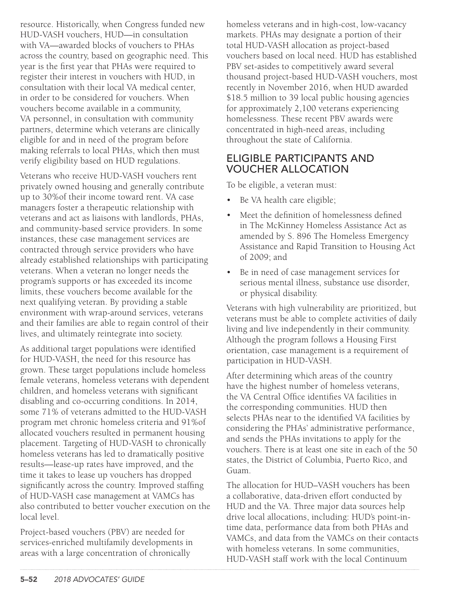resource. Historically, when Congress funded new HUD-VASH vouchers, HUD—in consultation with VA—awarded blocks of vouchers to PHAs across the country, based on geographic need. This year is the first year that PHAs were required to register their interest in vouchers with HUD, in consultation with their local VA medical center, in order to be considered for vouchers. When vouchers become available in a community, VA personnel, in consultation with community partners, determine which veterans are clinically eligible for and in need of the program before making referrals to local PHAs, which then must verify eligibility based on HUD regulations.

Veterans who receive HUD-VASH vouchers rent privately owned housing and generally contribute up to 30%of their income toward rent. VA case managers foster a therapeutic relationship with veterans and act as liaisons with landlords, PHAs, and community-based service providers. In some instances, these case management services are contracted through service providers who have already established relationships with participating veterans. When a veteran no longer needs the program's supports or has exceeded its income limits, these vouchers become available for the next qualifying veteran. By providing a stable environment with wrap-around services, veterans and their families are able to regain control of their lives, and ultimately reintegrate into society.

As additional target populations were identified for HUD-VASH, the need for this resource has grown. These target populations include homeless female veterans, homeless veterans with dependent children, and homeless veterans with significant disabling and co-occurring conditions. In 2014, some 71% of veterans admitted to the HUD-VASH program met chronic homeless criteria and 91%of allocated vouchers resulted in permanent housing placement. Targeting of HUD-VASH to chronically homeless veterans has led to dramatically positive results—lease-up rates have improved, and the time it takes to lease up vouchers has dropped significantly across the country. Improved staffing of HUD-VASH case management at VAMCs has also contributed to better voucher execution on the local level.

Project-based vouchers (PBV) are needed for services-enriched multifamily developments in areas with a large concentration of chronically

homeless veterans and in high-cost, low-vacancy markets. PHAs may designate a portion of their total HUD-VASH allocation as project-based vouchers based on local need. HUD has established PBV set-asides to competitively award several thousand project-based HUD-VASH vouchers, most recently in November 2016, when HUD awarded \$18.5 million to 39 local public housing agencies for approximately 2,100 veterans experiencing homelessness. These recent PBV awards were concentrated in high-need areas, including throughout the state of California.

#### ELIGIBLE PARTICIPANTS AND VOUCHER ALLOCATION

To be eligible, a veteran must:

- Be VA health care eligible;
- Meet the definition of homelessness defined in The McKinney Homeless Assistance Act as amended by S. 896 The Homeless Emergency Assistance and Rapid Transition to Housing Act of 2009; and
- Be in need of case management services for serious mental illness, substance use disorder, or physical disability.

Veterans with high vulnerability are prioritized, but veterans must be able to complete activities of daily living and live independently in their community. Although the program follows a Housing First orientation, case management is a requirement of participation in HUD-VASH.

After determining which areas of the country have the highest number of homeless veterans, the VA Central Office identifies VA facilities in the corresponding communities. HUD then selects PHAs near to the identified VA facilities by considering the PHAs' administrative performance, and sends the PHAs invitations to apply for the vouchers. There is at least one site in each of the 50 states, the District of Columbia, Puerto Rico, and Guam.

The allocation for HUD–VASH vouchers has been a collaborative, data-driven effort conducted by HUD and the VA. Three major data sources help drive local allocations, including: HUD's point-intime data, performance data from both PHAs and VAMCs, and data from the VAMCs on their contacts with homeless veterans. In some communities, HUD-VASH staff work with the local Continuum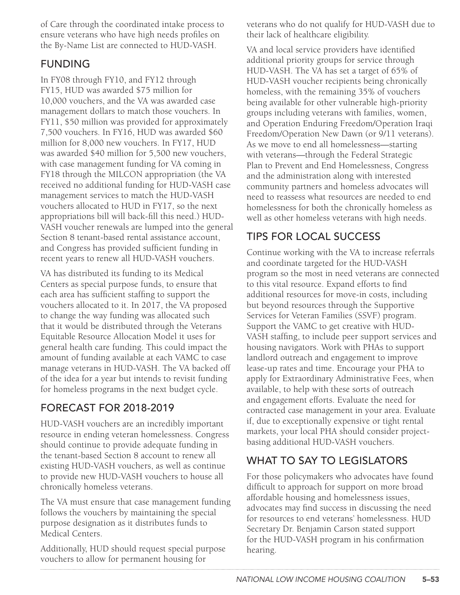of Care through the coordinated intake process to ensure veterans who have high needs profiles on the By-Name List are connected to HUD-VASH.

#### FUNDING

In FY08 through FY10, and FY12 through FY15, HUD was awarded \$75 million for 10,000 vouchers, and the VA was awarded case management dollars to match those vouchers. In FY11, \$50 million was provided for approximately 7,500 vouchers. In FY16, HUD was awarded \$60 million for 8,000 new vouchers. In FY17, HUD was awarded \$40 million for 5,500 new vouchers, with case management funding for VA coming in FY18 through the MILCON appropriation (the VA received no additional funding for HUD-VASH case management services to match the HUD-VASH vouchers allocated to HUD in FY17, so the next appropriations bill will back-fill this need.) HUD-VASH voucher renewals are lumped into the general Section 8 tenant-based rental assistance account, and Congress has provided sufficient funding in recent years to renew all HUD-VASH vouchers.

VA has distributed its funding to its Medical Centers as special purpose funds, to ensure that each area has sufficient staffing to support the vouchers allocated to it. In 2017, the VA proposed to change the way funding was allocated such that it would be distributed through the Veterans Equitable Resource Allocation Model it uses for general health care funding. This could impact the amount of funding available at each VAMC to case manage veterans in HUD-VASH. The VA backed off of the idea for a year but intends to revisit funding for homeless programs in the next budget cycle.

## FORECAST FOR 2018-2019

HUD-VASH vouchers are an incredibly important resource in ending veteran homelessness. Congress should continue to provide adequate funding in the tenant-based Section 8 account to renew all existing HUD-VASH vouchers, as well as continue to provide new HUD-VASH vouchers to house all chronically homeless veterans.

The VA must ensure that case management funding follows the vouchers by maintaining the special purpose designation as it distributes funds to Medical Centers.

Additionally, HUD should request special purpose vouchers to allow for permanent housing for

veterans who do not qualify for HUD-VASH due to their lack of healthcare eligibility.

VA and local service providers have identified additional priority groups for service through HUD-VASH. The VA has set a target of 65% of HUD-VASH voucher recipients being chronically homeless, with the remaining 35% of vouchers being available for other vulnerable high-priority groups including veterans with families, women, and Operation Enduring Freedom/Operation Iraqi Freedom/Operation New Dawn (or 9/11 veterans). As we move to end all homelessness*—*starting with veterans*—*through the Federal Strategic Plan to Prevent and End Homelessness, Congress and the administration along with interested community partners and homeless advocates will need to reassess what resources are needed to end homelessness for both the chronically homeless as well as other homeless veterans with high needs.

## TIPS FOR LOCAL SUCCESS

Continue working with the VA to increase referrals and coordinate targeted for the HUD-VASH program so the most in need veterans are connected to this vital resource. Expand efforts to find additional resources for move-in costs, including but beyond resources through the Supportive Services for Veteran Families (SSVF) program. Support the VAMC to get creative with HUD-VASH staffing, to include peer support services and housing navigators. Work with PHAs to support landlord outreach and engagement to improve lease-up rates and time. Encourage your PHA to apply for Extraordinary Administrative Fees, when available, to help with these sorts of outreach and engagement efforts. Evaluate the need for contracted case management in your area. Evaluate if, due to exceptionally expensive or tight rental markets, your local PHA should consider projectbasing additional HUD-VASH vouchers.

# WHAT TO SAY TO LEGISLATORS

For those policymakers who advocates have found difficult to approach for support on more broad affordable housing and homelessness issues, advocates may find success in discussing the need for resources to end veterans' homelessness. HUD Secretary Dr. Benjamin Carson stated support for the HUD-VASH program in his confirmation hearing.